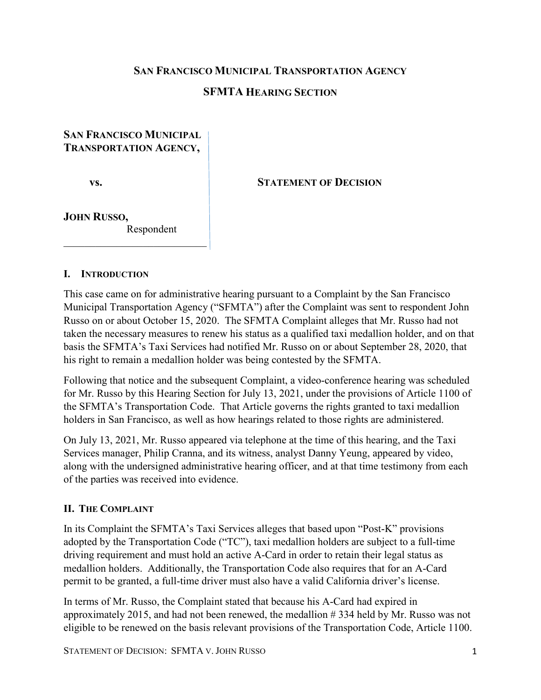### **SAN FRANCISCO MUNICIPAL TRANSPORTATION AGENCY**

### **SFMTA HEARING SECTION**

## **SAN FRANCISCO MUNICIPAL TRANSPORTATION AGENCY,**

#### **vs. STATEMENT OF DECISION**

#### **JOHN RUSSO,** Respondent

 $\overline{\phantom{a}}$  , and the set of the set of the set of the set of the set of the set of the set of the set of the set of the set of the set of the set of the set of the set of the set of the set of the set of the set of the s

### **I. INTRODUCTION**

This case came on for administrative hearing pursuant to a Complaint by the San Francisco Municipal Transportation Agency ("SFMTA") after the Complaint was sent to respondent John Russo on or about October 15, 2020. The SFMTA Complaint alleges that Mr. Russo had not taken the necessary measures to renew his status as a qualified taxi medallion holder, and on that basis the SFMTA's Taxi Services had notified Mr. Russo on or about September 28, 2020, that his right to remain a medallion holder was being contested by the SFMTA.

Following that notice and the subsequent Complaint, a video-conference hearing was scheduled for Mr. Russo by this Hearing Section for July 13, 2021, under the provisions of Article 1100 of the SFMTA's Transportation Code. That Article governs the rights granted to taxi medallion holders in San Francisco, as well as how hearings related to those rights are administered.

On July 13, 2021, Mr. Russo appeared via telephone at the time of this hearing, and the Taxi Services manager, Philip Cranna, and its witness, analyst Danny Yeung, appeared by video, along with the undersigned administrative hearing officer, and at that time testimony from each of the parties was received into evidence.

### **II. THE COMPLAINT**

In its Complaint the SFMTA's Taxi Services alleges that based upon "Post-K" provisions adopted by the Transportation Code ("TC"), taxi medallion holders are subject to a full-time driving requirement and must hold an active A-Card in order to retain their legal status as medallion holders. Additionally, the Transportation Code also requires that for an A-Card permit to be granted, a full-time driver must also have a valid California driver's license.

In terms of Mr. Russo, the Complaint stated that because his A-Card had expired in approximately 2015, and had not been renewed, the medallion # 334 held by Mr. Russo was not eligible to be renewed on the basis relevant provisions of the Transportation Code, Article 1100.

STATEMENT OF DECISION: SFMTA V. JOHN RUSSO 1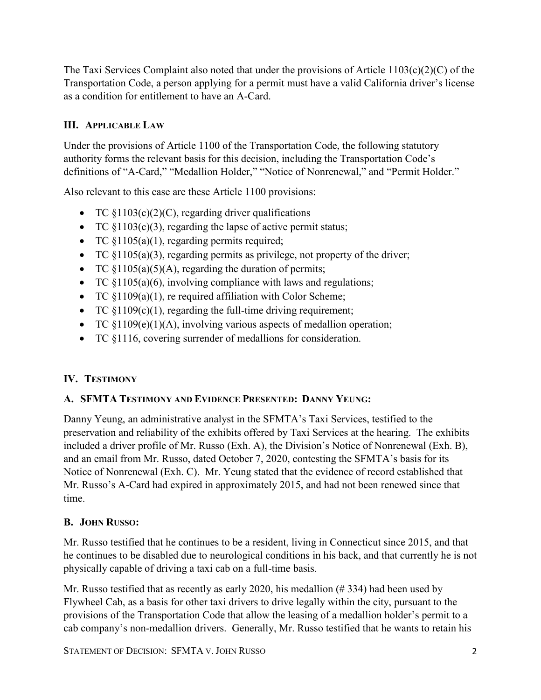The Taxi Services Complaint also noted that under the provisions of Article  $1103(c)(2)(C)$  of the Transportation Code, a person applying for a permit must have a valid California driver's license as a condition for entitlement to have an A-Card.

# **III. APPLICABLE LAW**

Under the provisions of Article 1100 of the Transportation Code, the following statutory authority forms the relevant basis for this decision, including the Transportation Code's definitions of "A-Card," "Medallion Holder," "Notice of Nonrenewal," and "Permit Holder."

Also relevant to this case are these Article 1100 provisions:

- TC  $$1103(c)(2)(C)$ , regarding driver qualifications
- TC  $§1103(c)(3)$ , regarding the lapse of active permit status;
- TC  $$1105(a)(1)$ , regarding permits required;
- TC §1105(a)(3), regarding permits as privilege, not property of the driver;
- TC  $$1105(a)(5)(A)$ , regarding the duration of permits;
- TC  $$1105(a)(6)$ , involving compliance with laws and regulations;
- TC  $§1109(a)(1)$ , re required affiliation with Color Scheme;
- TC  $$1109(c)(1)$ , regarding the full-time driving requirement;
- TC  $$1109(e)(1)(A)$ , involving various aspects of medallion operation;
- TC §1116, covering surrender of medallions for consideration.

# **IV. TESTIMONY**

## **A. SFMTA TESTIMONY AND EVIDENCE PRESENTED: DANNY YEUNG:**

Danny Yeung, an administrative analyst in the SFMTA's Taxi Services, testified to the preservation and reliability of the exhibits offered by Taxi Services at the hearing. The exhibits included a driver profile of Mr. Russo (Exh. A), the Division's Notice of Nonrenewal (Exh. B), and an email from Mr. Russo, dated October 7, 2020, contesting the SFMTA's basis for its Notice of Nonrenewal (Exh. C). Mr. Yeung stated that the evidence of record established that Mr. Russo's A-Card had expired in approximately 2015, and had not been renewed since that time.

## **B. JOHN RUSSO:**

Mr. Russo testified that he continues to be a resident, living in Connecticut since 2015, and that he continues to be disabled due to neurological conditions in his back, and that currently he is not physically capable of driving a taxi cab on a full-time basis.

Mr. Russo testified that as recently as early 2020, his medallion  $(\# 334)$  had been used by Flywheel Cab, as a basis for other taxi drivers to drive legally within the city, pursuant to the provisions of the Transportation Code that allow the leasing of a medallion holder's permit to a cab company's non-medallion drivers. Generally, Mr. Russo testified that he wants to retain his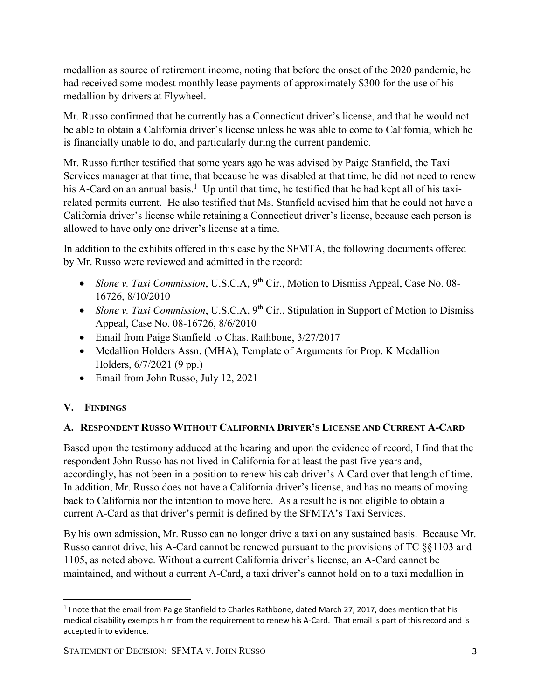medallion as source of retirement income, noting that before the onset of the 2020 pandemic, he had received some modest monthly lease payments of approximately \$300 for the use of his medallion by drivers at Flywheel.

Mr. Russo confirmed that he currently has a Connecticut driver's license, and that he would not be able to obtain a California driver's license unless he was able to come to California, which he is financially unable to do, and particularly during the current pandemic.

Mr. Russo further testified that some years ago he was advised by Paige Stanfield, the Taxi Services manager at that time, that because he was disabled at that time, he did not need to renew his A-Card on an annual basis.<sup>1</sup> Up until that time, he testified that he had kept all of his taxirelated permits current. He also testified that Ms. Stanfield advised him that he could not have a California driver's license while retaining a Connecticut driver's license, because each person is allowed to have only one driver's license at a time.

In addition to the exhibits offered in this case by the SFMTA, the following documents offered by Mr. Russo were reviewed and admitted in the record:

- *Slone v. Taxi Commission*, U.S.C.A, 9<sup>th</sup> Cir., Motion to Dismiss Appeal, Case No. 08-16726, 8/10/2010
- *Slone v. Taxi Commission*, U.S.C.A, 9<sup>th</sup> Cir., Stipulation in Support of Motion to Dismiss Appeal, Case No. 08-16726, 8/6/2010
- Email from Paige Stanfield to Chas. Rathbone,  $3/27/2017$
- Medallion Holders Assn. (MHA), Template of Arguments for Prop. K Medallion Holders, 6/7/2021 (9 pp.)
- Email from John Russo, July 12, 2021

## **V. FINDINGS**

## **A. RESPONDENT RUSSO WITHOUT CALIFORNIA DRIVER'S LICENSE AND CURRENT A-CARD**

Based upon the testimony adduced at the hearing and upon the evidence of record, I find that the respondent John Russo has not lived in California for at least the past five years and, accordingly, has not been in a position to renew his cab driver's A Card over that length of time. In addition, Mr. Russo does not have a California driver's license, and has no means of moving back to California nor the intention to move here. As a result he is not eligible to obtain a current A-Card as that driver's permit is defined by the SFMTA's Taxi Services.

By his own admission, Mr. Russo can no longer drive a taxi on any sustained basis. Because Mr. Russo cannot drive, his A-Card cannot be renewed pursuant to the provisions of TC §§1103 and 1105, as noted above. Without a current California driver's license, an A-Card cannot be maintained, and without a current A-Card, a taxi driver's cannot hold on to a taxi medallion in

<sup>&</sup>lt;sup>1</sup> I note that the email from Paige Stanfield to Charles Rathbone, dated March 27, 2017, does mention that his medical disability exempts him from the requirement to renew his A-Card. That email is part of this record and is accepted into evidence.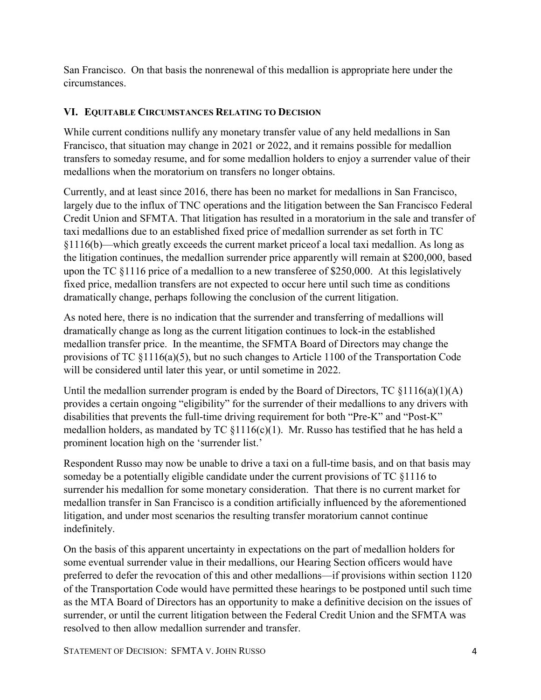San Francisco. On that basis the nonrenewal of this medallion is appropriate here under the circumstances.

# **VI. EQUITABLE CIRCUMSTANCES RELATING TO DECISION**

While current conditions nullify any monetary transfer value of any held medallions in San Francisco, that situation may change in 2021 or 2022, and it remains possible for medallion transfers to someday resume, and for some medallion holders to enjoy a surrender value of their medallions when the moratorium on transfers no longer obtains.

Currently, and at least since 2016, there has been no market for medallions in San Francisco, largely due to the influx of TNC operations and the litigation between the San Francisco Federal Credit Union and SFMTA. That litigation has resulted in a moratorium in the sale and transfer of taxi medallions due to an established fixed price of medallion surrender as set forth in TC §1116(b)—which greatly exceeds the current market priceof a local taxi medallion. As long as the litigation continues, the medallion surrender price apparently will remain at \$200,000, based upon the TC §1116 price of a medallion to a new transferee of \$250,000. At this legislatively fixed price, medallion transfers are not expected to occur here until such time as conditions dramatically change, perhaps following the conclusion of the current litigation.

As noted here, there is no indication that the surrender and transferring of medallions will dramatically change as long as the current litigation continues to lock-in the established medallion transfer price. In the meantime, the SFMTA Board of Directors may change the provisions of TC §1116(a)(5), but no such changes to Article 1100 of the Transportation Code will be considered until later this year, or until sometime in 2022.

Until the medallion surrender program is ended by the Board of Directors, TC  $\{1116(a)(1)(A)$ provides a certain ongoing "eligibility" for the surrender of their medallions to any drivers with disabilities that prevents the full-time driving requirement for both "Pre-K" and "Post-K" medallion holders, as mandated by TC  $$1116(c)(1)$ . Mr. Russo has testified that he has held a prominent location high on the 'surrender list.'

Respondent Russo may now be unable to drive a taxi on a full-time basis, and on that basis may someday be a potentially eligible candidate under the current provisions of TC §1116 to surrender his medallion for some monetary consideration. That there is no current market for medallion transfer in San Francisco is a condition artificially influenced by the aforementioned litigation, and under most scenarios the resulting transfer moratorium cannot continue indefinitely.

On the basis of this apparent uncertainty in expectations on the part of medallion holders for some eventual surrender value in their medallions, our Hearing Section officers would have preferred to defer the revocation of this and other medallions—if provisions within section 1120 of the Transportation Code would have permitted these hearings to be postponed until such time as the MTA Board of Directors has an opportunity to make a definitive decision on the issues of surrender, or until the current litigation between the Federal Credit Union and the SFMTA was resolved to then allow medallion surrender and transfer.

STATEMENT OF DECISION: SFMTA V.JOHN RUSSO 4